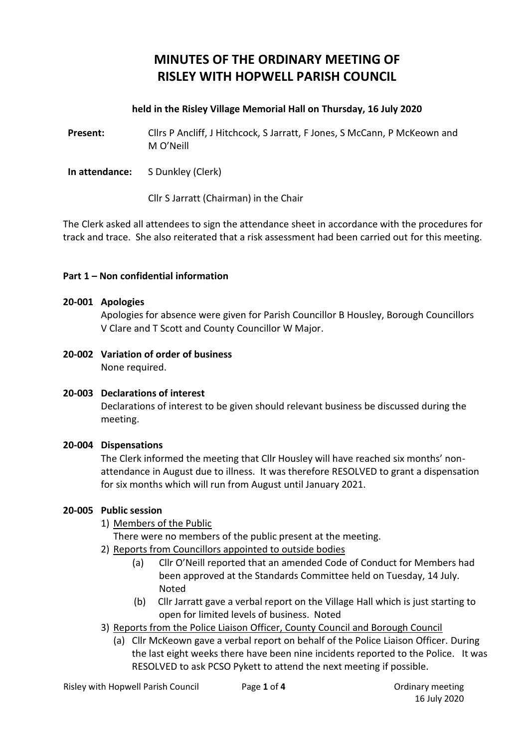# **MINUTES OF THE ORDINARY MEETING OF RISLEY WITH HOPWELL PARISH COUNCIL**

#### **held in the Risley Village Memorial Hall on Thursday, 16 July 2020**

**Present:** Cllrs P Ancliff, J Hitchcock, S Jarratt, F Jones, S McCann, P McKeown and M O'Neill

**In attendance:** S Dunkley (Clerk)

Cllr S Jarratt (Chairman) in the Chair

The Clerk asked all attendees to sign the attendance sheet in accordance with the procedures for track and trace. She also reiterated that a risk assessment had been carried out for this meeting.

#### **Part 1 – Non confidential information**

#### **20-001 Apologies**

Apologies for absence were given for Parish Councillor B Housley, Borough Councillors V Clare and T Scott and County Councillor W Major.

**20-002 Variation of order of business** None required.

#### **20-003 Declarations of interest**

Declarations of interest to be given should relevant business be discussed during the meeting.

#### **20-004 Dispensations**

The Clerk informed the meeting that Cllr Housley will have reached six months' nonattendance in August due to illness. It was therefore RESOLVED to grant a dispensation for six months which will run from August until January 2021.

#### **20-005 Public session**

1) Members of the Public

There were no members of the public present at the meeting.

- 2) Reports from Councillors appointed to outside bodies
	- (a) Cllr O'Neill reported that an amended Code of Conduct for Members had been approved at the Standards Committee held on Tuesday, 14 July. Noted
	- (b) Cllr Jarratt gave a verbal report on the Village Hall which is just starting to open for limited levels of business. Noted
- 3) Reports from the Police Liaison Officer, County Council and Borough Council
	- (a) Cllr McKeown gave a verbal report on behalf of the Police Liaison Officer. During the last eight weeks there have been nine incidents reported to the Police. It was RESOLVED to ask PCSO Pykett to attend the next meeting if possible.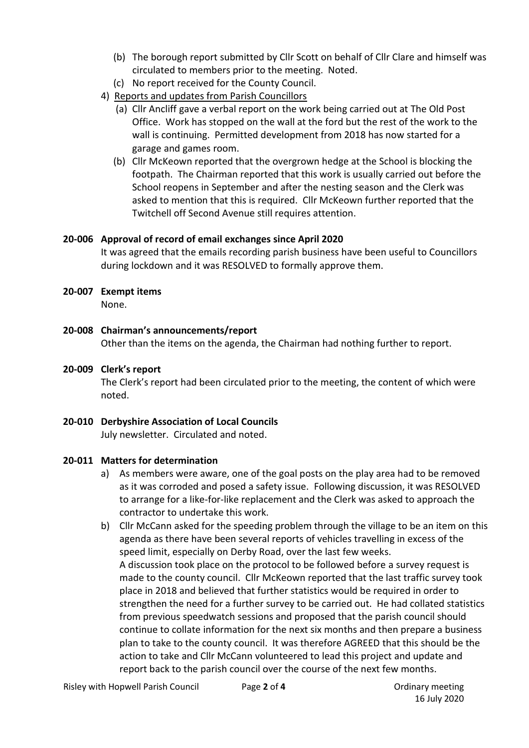- (b) The borough report submitted by Cllr Scott on behalf of Cllr Clare and himself was circulated to members prior to the meeting. Noted.
- (c) No report received for the County Council.
- 4) Reports and updates from Parish Councillors
	- (a) Cllr Ancliff gave a verbal report on the work being carried out at The Old Post Office. Work has stopped on the wall at the ford but the rest of the work to the wall is continuing. Permitted development from 2018 has now started for a garage and games room.
	- (b) Cllr McKeown reported that the overgrown hedge at the School is blocking the footpath. The Chairman reported that this work is usually carried out before the School reopens in September and after the nesting season and the Clerk was asked to mention that this is required. Cllr McKeown further reported that the Twitchell off Second Avenue still requires attention.

## **20-006 Approval of record of email exchanges since April 2020**

It was agreed that the emails recording parish business have been useful to Councillors during lockdown and it was RESOLVED to formally approve them.

## **20-007 Exempt items**

None.

# **20-008 Chairman's announcements/report**

Other than the items on the agenda, the Chairman had nothing further to report.

**20-009 Clerk's report** The Clerk's report had been circulated prior to the meeting, the content of which were noted.

# **20-010 Derbyshire Association of Local Councils**

July newsletter. Circulated and noted.

# **20-011 Matters for determination**

- a) As members were aware, one of the goal posts on the play area had to be removed as it was corroded and posed a safety issue. Following discussion, it was RESOLVED to arrange for a like-for-like replacement and the Clerk was asked to approach the contractor to undertake this work.
- b) Cllr McCann asked for the speeding problem through the village to be an item on this agenda as there have been several reports of vehicles travelling in excess of the speed limit, especially on Derby Road, over the last few weeks. A discussion took place on the protocol to be followed before a survey request is made to the county council. Cllr McKeown reported that the last traffic survey took place in 2018 and believed that further statistics would be required in order to strengthen the need for a further survey to be carried out. He had collated statistics from previous speedwatch sessions and proposed that the parish council should continue to collate information for the next six months and then prepare a business plan to take to the county council. It was therefore AGREED that this should be the action to take and Cllr McCann volunteered to lead this project and update and report back to the parish council over the course of the next few months.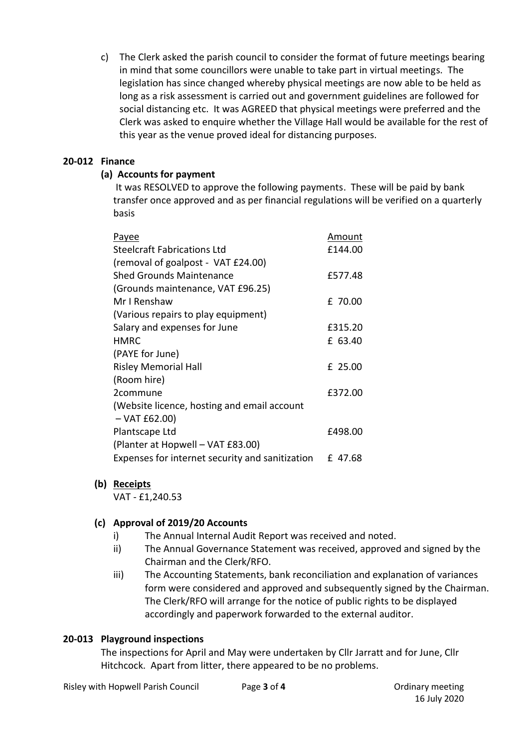c) The Clerk asked the parish council to consider the format of future meetings bearing in mind that some councillors were unable to take part in virtual meetings. The legislation has since changed whereby physical meetings are now able to be held as long as a risk assessment is carried out and government guidelines are followed for social distancing etc. It was AGREED that physical meetings were preferred and the Clerk was asked to enquire whether the Village Hall would be available for the rest of this year as the venue proved ideal for distancing purposes.

## **20-012 Finance**

# **(a) Accounts for payment**

It was RESOLVED to approve the following payments. These will be paid by bank transfer once approved and as per financial regulations will be verified on a quarterly basis

| <u>Payee</u>                                    | Amount  |
|-------------------------------------------------|---------|
| <b>Steelcraft Fabrications Ltd</b>              | £144.00 |
| (removal of goalpost - VAT £24.00)              |         |
| <b>Shed Grounds Maintenance</b>                 | £577.48 |
| (Grounds maintenance, VAT £96.25)               |         |
| Mr I Renshaw                                    | £ 70.00 |
| (Various repairs to play equipment)             |         |
| Salary and expenses for June                    | £315.20 |
| <b>HMRC</b>                                     | £ 63.40 |
| (PAYE for June)                                 |         |
| <b>Risley Memorial Hall</b>                     | £ 25.00 |
| (Room hire)                                     |         |
| 2commune                                        | £372.00 |
| (Website licence, hosting and email account     |         |
| $-$ VAT £62.00)                                 |         |
| Plantscape Ltd                                  | £498.00 |
| (Planter at Hopwell - VAT £83.00)               |         |
| Expenses for internet security and sanitization | £47.68  |

#### **(b) Receipts**

VAT - £1,240.53

# **(c) Approval of 2019/20 Accounts**

- i) The Annual Internal Audit Report was received and noted.
- ii) The Annual Governance Statement was received, approved and signed by the Chairman and the Clerk/RFO.
- iii) The Accounting Statements, bank reconciliation and explanation of variances form were considered and approved and subsequently signed by the Chairman. The Clerk/RFO will arrange for the notice of public rights to be displayed accordingly and paperwork forwarded to the external auditor.

# **20-013 Playground inspections**

The inspections for April and May were undertaken by Cllr Jarratt and for June, Cllr Hitchcock. Apart from litter, there appeared to be no problems.